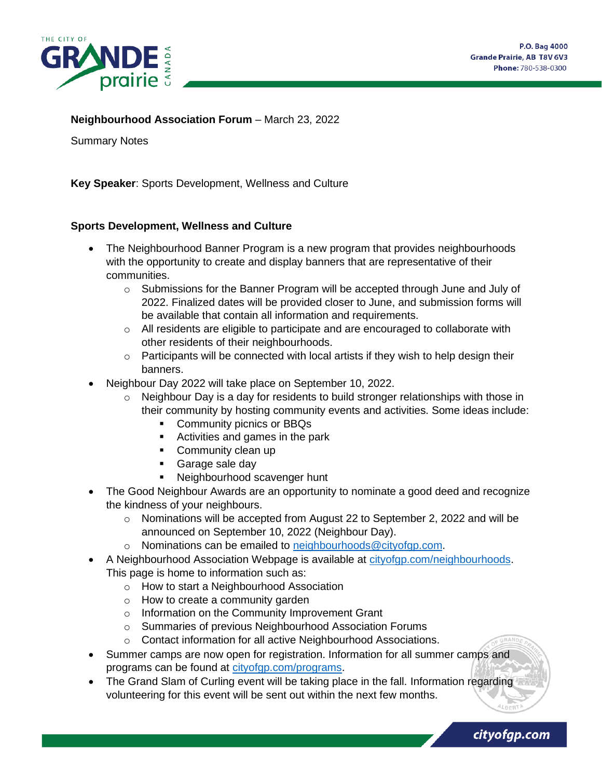

cityofgp.com

#### **Neighbourhood Association Forum - March 23, 2022**

Summary Notes

**Key Speaker**: Sports Development, Wellness and Culture

#### **Sports Development, Wellness and Culture**

- The Neighbourhood Banner Program is a new program that provides neighbourhoods with the opportunity to create and display banners that are representative of their communities.
	- $\circ$  Submissions for the Banner Program will be accepted through June and July of 2022. Finalized dates will be provided closer to June, and submission forms will be available that contain all information and requirements.
	- $\circ$  All residents are eligible to participate and are encouraged to collaborate with other residents of their neighbourhoods.
	- $\circ$  Participants will be connected with local artists if they wish to help design their banners.
- Neighbour Day 2022 will take place on September 10, 2022.
	- $\circ$  Neighbour Day is a day for residents to build stronger relationships with those in their community by hosting community events and activities. Some ideas include:
		- Community picnics or BBQs
		- Activities and games in the park
		- Community clean up
		- Garage sale day
		- Neighbourhood scavenger hunt
- The Good Neighbour Awards are an opportunity to nominate a good deed and recognize the kindness of your neighbours.
	- $\circ$  Nominations will be accepted from August 22 to September 2, 2022 and will be announced on September 10, 2022 (Neighbour Day).
	- o Nominations can be emailed to [neighbourhoods@cityofgp.com.](mailto:neighbourhoods@cityofgp.com)
- A Neighbourhood Association Webpage is available at [cityofgp.com/neighbourhoods.](https://www.cityofgp.com/culture-community/neighbourhood-associations) This page is home to information such as:
	- o How to start a Neighbourhood Association
	- o How to create a community garden
	- o Information on the Community Improvement Grant
	- o Summaries of previous Neighbourhood Association Forums
	- o Contact information for all active Neighbourhood Associations.
- Summer camps are now open for registration. Information for all summer camps and programs can be found at [cityofgp.com/programs.](https://www.cityofgp.com/parks-recreation/programs-camps-funding?utm_source=friendly-url&utm_medium=various&utm_campaign=general&utm_content=programs)
- The Grand Slam of Curling event will be taking place in the fall. Information regarding volunteering for this event will be sent out within the next few months.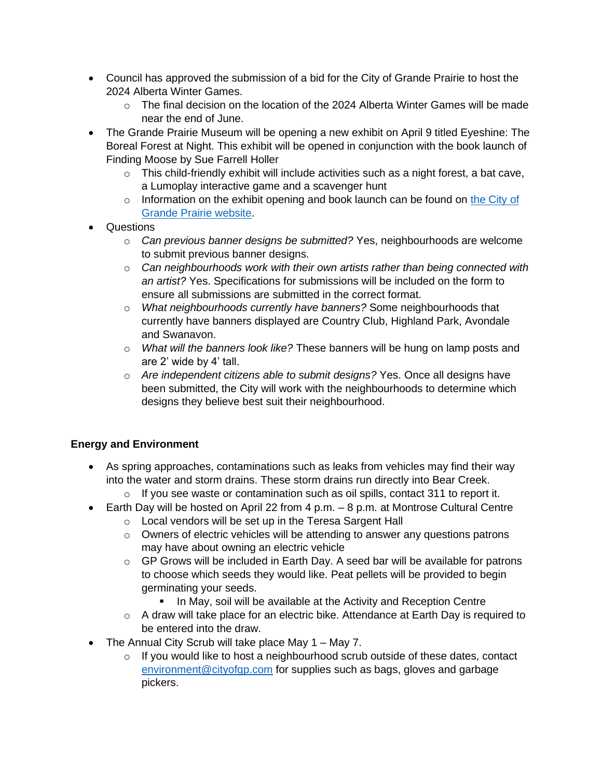- Council has approved the submission of a bid for the City of Grande Prairie to host the 2024 Alberta Winter Games.
	- $\circ$  The final decision on the location of the 2024 Alberta Winter Games will be made near the end of June.
- The Grande Prairie Museum will be opening a new exhibit on April 9 titled Eyeshine: The Boreal Forest at Night. This exhibit will be opened in conjunction with the book launch of Finding Moose by Sue Farrell Holler
	- o This child-friendly exhibit will include activities such as a night forest, a bat cave, a Lumoplay interactive game and a scavenger hunt
	- o Information on the exhibit opening and book launch can be found on the City of [Grande Prairie website.](https://www.cityofgp.com/culture-community/news-events/event-calendar/grande-prairie-museum/eyeshine-boreal-forest-night)
- Questions
	- o *Can previous banner designs be submitted?* Yes, neighbourhoods are welcome to submit previous banner designs.
	- o *Can neighbourhoods work with their own artists rather than being connected with an artist?* Yes. Specifications for submissions will be included on the form to ensure all submissions are submitted in the correct format.
	- o *What neighbourhoods currently have banners?* Some neighbourhoods that currently have banners displayed are Country Club, Highland Park, Avondale and Swanavon.
	- o *What will the banners look like?* These banners will be hung on lamp posts and are 2' wide by 4' tall.
	- o *Are independent citizens able to submit designs?* Yes. Once all designs have been submitted, the City will work with the neighbourhoods to determine which designs they believe best suit their neighbourhood.

# **Energy and Environment**

- As spring approaches, contaminations such as leaks from vehicles may find their way into the water and storm drains. These storm drains run directly into Bear Creek.
	- $\circ$  If you see waste or contamination such as oil spills, contact 311 to report it.
- Earth Day will be hosted on April 22 from 4 p.m. 8 p.m. at Montrose Cultural Centre
	- o Local vendors will be set up in the Teresa Sargent Hall
	- o Owners of electric vehicles will be attending to answer any questions patrons may have about owning an electric vehicle
	- $\circ$  GP Grows will be included in Earth Day. A seed bar will be available for patrons to choose which seeds they would like. Peat pellets will be provided to begin germinating your seeds.
		- **.** In May, soil will be available at the Activity and Reception Centre
	- $\circ$  A draw will take place for an electric bike. Attendance at Earth Day is required to be entered into the draw.
- The Annual City Scrub will take place May 1 May 7.
	- o If you would like to host a neighbourhood scrub outside of these dates, contact [environment@cityofgp.com](mailto:environment@cityofgp.com) for supplies such as bags, gloves and garbage pickers.